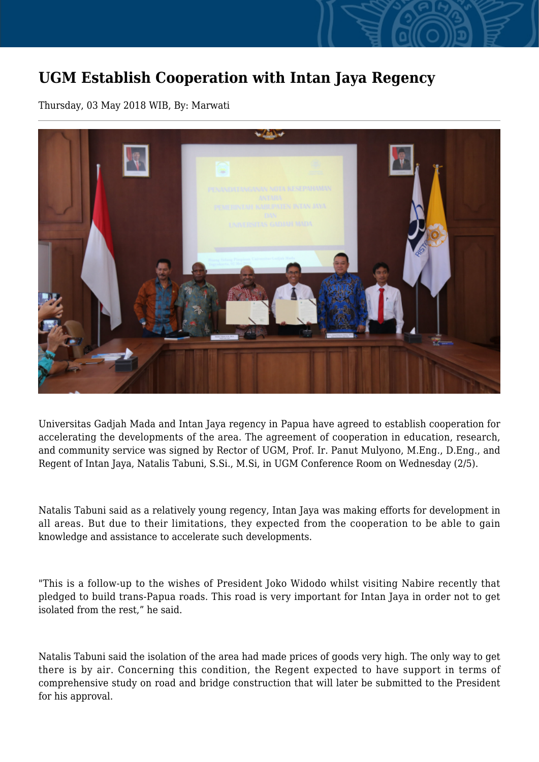## **UGM Establish Cooperation with Intan Jaya Regency**

Thursday, 03 May 2018 WIB, By: Marwati



Universitas Gadjah Mada and Intan Jaya regency in Papua have agreed to establish cooperation for accelerating the developments of the area. The agreement of cooperation in education, research, and community service was signed by Rector of UGM, Prof. Ir. Panut Mulyono, M.Eng., D.Eng., and Regent of Intan Jaya, Natalis Tabuni, S.Si., M.Si, in UGM Conference Room on Wednesday (2/5).

Natalis Tabuni said as a relatively young regency, Intan Jaya was making efforts for development in all areas. But due to their limitations, they expected from the cooperation to be able to gain knowledge and assistance to accelerate such developments.

"This is a follow-up to the wishes of President Joko Widodo whilst visiting Nabire recently that pledged to build trans-Papua roads. This road is very important for Intan Jaya in order not to get isolated from the rest," he said.

Natalis Tabuni said the isolation of the area had made prices of goods very high. The only way to get there is by air. Concerning this condition, the Regent expected to have support in terms of comprehensive study on road and bridge construction that will later be submitted to the President for his approval.